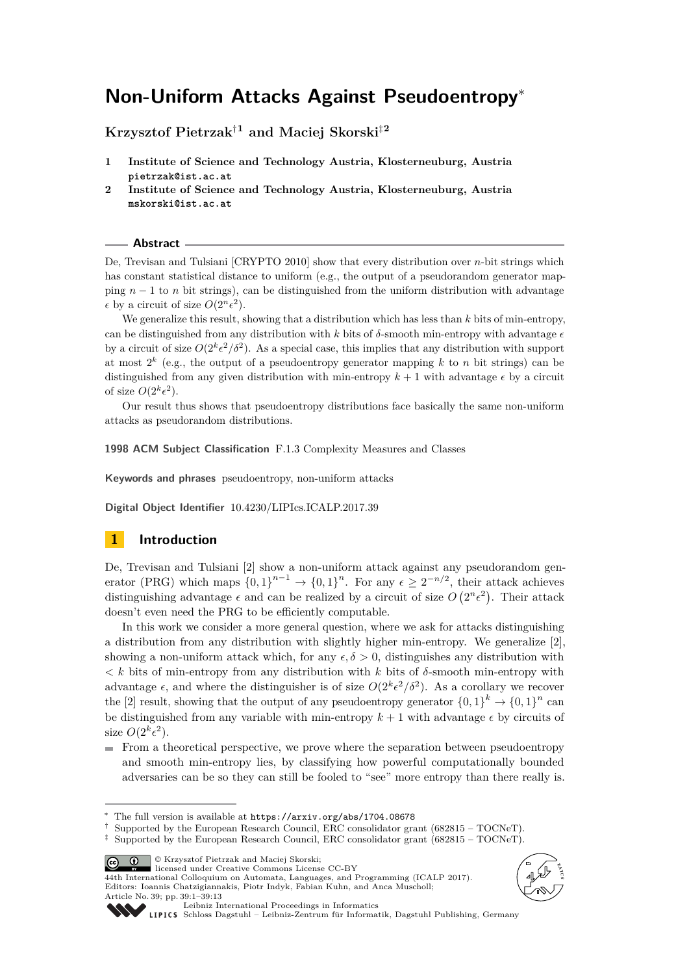# **Non-Uniform Attacks Against Pseudoentropy**<sup>∗</sup>

**Krzysztof Pietrzak**†**<sup>1</sup> and Maciej Skorski**‡**<sup>2</sup>**

- **1 Institute of Science and Technology Austria, Klosterneuburg, Austria pietrzak@ist.ac.at**
- **2 Institute of Science and Technology Austria, Klosterneuburg, Austria mskorski@ist.ac.at**

#### **Abstract**

De, Trevisan and Tulsiani [CRYPTO 2010] show that every distribution over *n*-bit strings which has constant statistical distance to uniform (e.g., the output of a pseudorandom generator mapping  $n-1$  to *n* bit strings), can be distinguished from the uniform distribution with advantage  $\epsilon$  by a circuit of size  $O(2^n \epsilon^2)$ .

We generalize this result, showing that a distribution which has less than *k* bits of min-entropy, can be distinguished from any distribution with *k* bits of  $\delta$ -smooth min-entropy with advantage  $\epsilon$ by a circuit of size  $O(2^k \epsilon^2/\delta^2)$ . As a special case, this implies that any distribution with support at most  $2^k$  (e.g., the output of a pseudoentropy generator mapping  $k$  to  $n$  bit strings) can be distinguished from any given distribution with min-entropy  $k+1$  with advantage  $\epsilon$  by a circuit of size  $O(2^k \epsilon^2)$ .

Our result thus shows that pseudoentropy distributions face basically the same non-uniform attacks as pseudorandom distributions.

**1998 ACM Subject Classification** F.1.3 Complexity Measures and Classes

**Keywords and phrases** pseudoentropy, non-uniform attacks

**Digital Object Identifier** [10.4230/LIPIcs.ICALP.2017.39](http://dx.doi.org/10.4230/LIPIcs.ICALP.2017.39)

# **1 Introduction**

De, Trevisan and Tulsiani [\[2\]](#page-12-0) show a non-uniform attack against any pseudorandom generator (PRG) which maps  $\{0,1\}^{n-1} \to \{0,1\}^n$ . For any  $\epsilon \geq 2^{-n/2}$ , their attack achieves distinguishing advantage  $\epsilon$  and can be realized by a circuit of size  $O(2^n \epsilon^2)$ . Their attack doesn't even need the PRG to be efficiently computable.

In this work we consider a more general question, where we ask for attacks distinguishing a distribution from any distribution with slightly higher min-entropy. We generalize [\[2\]](#page-12-0), showing a non-uniform attack which, for any  $\epsilon, \delta > 0$ , distinguishes any distribution with  $\langle k \rangle$  bits of min-entropy from any distribution with *k* bits of  $\delta$ -smooth min-entropy with advantage  $\epsilon$ , and where the distinguisher is of size  $O(2^k \epsilon^2/\delta^2)$ . As a corollary we recover the [\[2\]](#page-12-0) result, showing that the output of any pseudoentropy generator  $\{0,1\}^k \to \{0,1\}^n$  can be distinguished from any variable with min-entropy  $k+1$  with advantage  $\epsilon$  by circuits of size  $O(2^k \epsilon^2)$ .

 $\blacksquare$  From a theoretical perspective, we prove where the separation between pseudoentropy and smooth min-entropy lies, by classifying how powerful computationally bounded adversaries can be so they can still be fooled to "see" more entropy than there really is.

© Krzysztof Pietrzak and Maciej Skorski;

 $\boxed{6}$   $\boxed{0}$ licensed under Creative Commons License CC-BY

44th International Colloquium on Automata, Languages, and Programming (ICALP 2017). Editors: Ioannis Chatzigiannakis, Piotr Indyk, Fabian Kuhn, and Anca Muscholl; Article No. 39; pp. 39:1–39[:13](#page-12-1)





[Leibniz International Proceedings in Informatics](http://www.dagstuhl.de/lipics/)

<sup>∗</sup> The full version is available at <https://arxiv.org/abs/1704.08678>

<sup>†</sup> Supported by the European Research Council, ERC consolidator grant (682815 – TOCNeT).

<sup>‡</sup> Supported by the European Research Council, ERC consolidator grant (682815 – TOCNeT).

[Schloss Dagstuhl – Leibniz-Zentrum für Informatik, Dagstuhl Publishing, Germany](http://www.dagstuhl.de)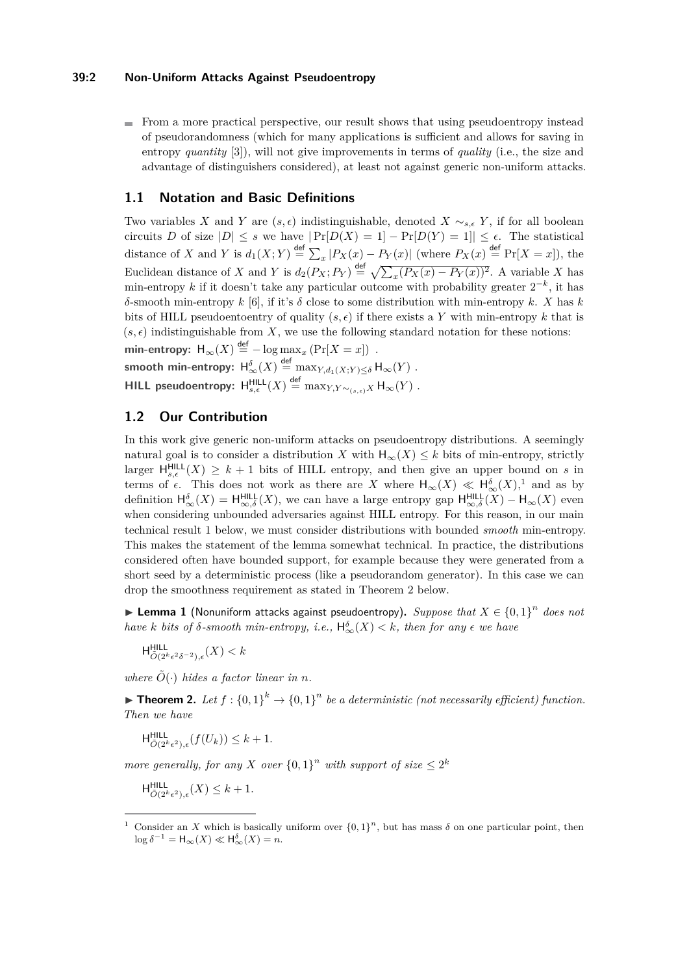#### **39:2 Non-Uniform Attacks Against Pseudoentropy**

From a more practical perspective, our result shows that using pseudoentropy instead of pseudorandomness (which for many applications is sufficient and allows for saving in entropy *quantity* [\[3\]](#page-12-2)), will not give improvements in terms of *quality* (i.e., the size and advantage of distinguishers considered), at least not against generic non-uniform attacks.

#### **1.1 Notation and Basic Definitions**

Two variables *X* and *Y* are  $(s, \epsilon)$  indistinguishable, denoted *X* ∼<sub>*s*, $\epsilon$ </sub> *Y*, if for all boolean circuits *D* of size  $|D| \leq s$  we have  $|\Pr[D(X) = 1] - \Pr[D(Y) = 1]| \leq \epsilon$ . The statistical distance of *X* and *Y* is  $d_1(X; Y) \stackrel{\text{def}}{=} \sum_x |P_X(x) - P_Y(x)|$  (where  $P_X(x) \stackrel{\text{def}}{=} \Pr[X = x]$ ), the Euclidean distance of *X* and *Y* is  $d_2(P_X; P_Y) \stackrel{\text{def}}{=} \sqrt{\sum_x (P_X(x) - P_Y(x))^2}$ . A variable *X* has min-entropy k if it doesn't take any particular outcome with probability greater  $2^{-k}$ , it has *δ*-smooth min-entropy *k* [\[6\]](#page-12-3), if it's *δ* close to some distribution with min-entropy *k*. *X* has *k* bits of HILL pseudoentoentry of quality  $(s, \epsilon)$  if there exists a Y with min-entropy k that is  $(s, \epsilon)$  indistinguishable from X, we use the following standard notation for these notions:  $\textsf{min-entropy:}~~ \mathsf{H}_{\infty}(X) \overset{\textup{def}}{=} -\log \max_{x} \left( \Pr[X=x] \right) \; .$  ${\sf smooth\,\, min\text{-}entropy} \colon \, \mathsf{H}^{\delta}_\infty(X) \stackrel{\sf def}{=} \max_{Y, d_1(X;Y) \leq \delta} \mathsf{H}_\infty(Y) \,$  *.* 

 $\mathsf{HILL}\n$  pseudoentropy:  $\mathsf{H}^{\mathsf{HILL}}_{s,\epsilon}(X) \stackrel{\mathsf{def}}{=} \max_{Y,Y \sim_{(s,\epsilon)} X} \mathsf{H}_\infty(Y)$  .

# **1.2 Our Contribution**

In this work give generic non-uniform attacks on pseudoentropy distributions. A seemingly natural goal is to consider a distribution *X* with  $H_{\infty}(X) \leq k$  bits of min-entropy, strictly larger  $H_{s,\epsilon}^{HILL}(X) \geq k+1$  bits of HILL entropy, and then give an upper bound on *s* in terms of  $\epsilon$ . This does not work as there are *X* where  $H_{\infty}(X) \ll H_{\infty}^{\delta}(X)$ ,<sup>[1](#page-1-0)</sup> and as by definition  $H_{\infty}^{\delta}(X) = H_{\infty,\delta}^{HILL}(X)$ , we can have a large entropy gap  $H_{\infty,\delta}^{HILL}(X) - H_{\infty}(X)$  even when considering unbounded adversaries against HILL entropy. For this reason, in our main technical result [1](#page-1-1) below, we must consider distributions with bounded *smooth* min-entropy. This makes the statement of the lemma somewhat technical. In practice, the distributions considered often have bounded support, for example because they were generated from a short seed by a deterministic process (like a pseudorandom generator). In this case we can drop the smoothness requirement as stated in Theorem [2](#page-1-2) below.

<span id="page-1-1"></span>▶ Lemma 1 (Nonuniform attacks against pseudoentropy). *Suppose that*  $X \in \{0,1\}^n$  does not *have k bits of*  $\delta$ *-smooth min-entropy, i.e.,*  $H_{\infty}^{\delta}(X) < k$ *, then for any*  $\epsilon$  *we have* 

 $H^{\text{HILL}}_{\tilde{O}(2^k \epsilon^2 \delta^{-2}), \epsilon}(X) < k$ 

*where*  $\tilde{O}(\cdot)$  *hides a factor linear in n.* 

<span id="page-1-2"></span>**Find 1. Chooper 1.** Let  $f: \{0,1\}^k \to \{0,1\}^n$  be a deterministic (not necessarily efficient) function. *Then we have*

 $H_{\tilde{O}(2^k\epsilon^2),\epsilon}^{\text{HILL}}(f(U_k)) \leq k+1.$ 

*more generally, for any X over*  $\{0,1\}^n$  *with support of size*  $\leq 2^k$ 

 $H^{\text{HILL}}_{\tilde{O}(2^k \epsilon^2), \epsilon}(X) \leq k+1.$ 

<span id="page-1-0"></span><sup>&</sup>lt;sup>1</sup> Consider an *X* which is basically uniform over  $\{0,1\}^n$ , but has mass  $\delta$  on one particular point, then  $\log \delta^{-1} = \mathsf{H}_{\infty}(X) \ll \mathsf{H}_{\infty}^{\delta}(X) = n.$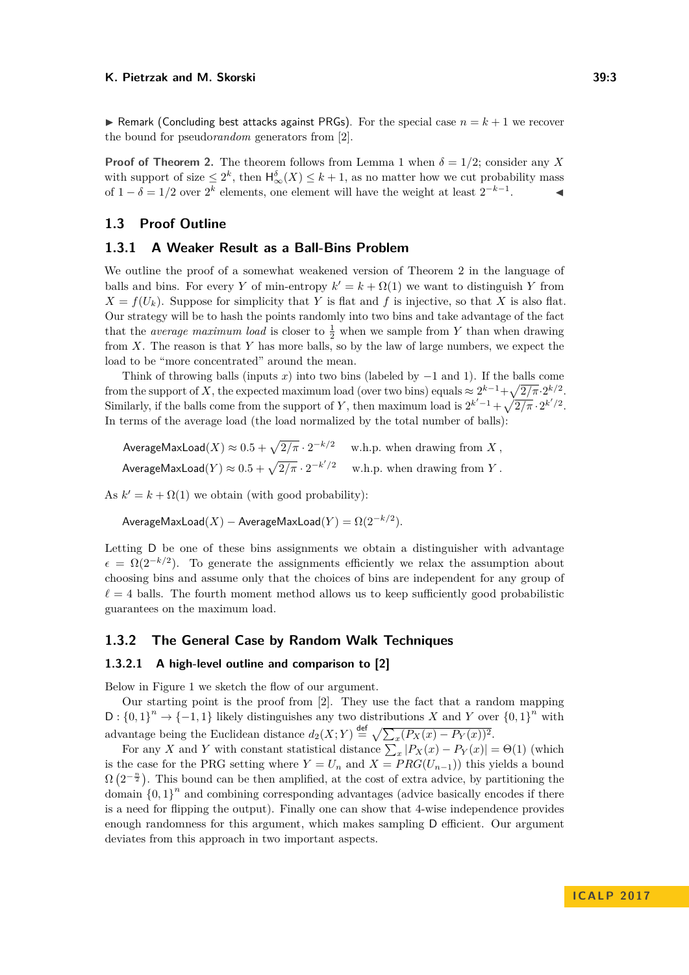$\triangleright$  Remark (Concluding best attacks against PRGs). For the special case  $n = k + 1$  we recover the bound for pseudo*random* generators from [\[2\]](#page-12-0).

**Proof of Theorem [2.](#page-1-2)** The theorem follows from Lemma [1](#page-1-1) when  $\delta = 1/2$ ; consider any X with support of size  $\leq 2^k$ , then  $H_{\infty}^{\delta}(X) \leq k+1$ , as no matter how we cut probability mass of  $1 - \delta = 1/2$  over  $2^k$  elements, one element will have the weight at least  $2^{-k-1}$  $\mathcal{L} = \mathcal{L}$ 

#### **1.3 Proof Outline**

### **1.3.1 A Weaker Result as a Ball-Bins Problem**

We outline the proof of a somewhat weakened version of Theorem [2](#page-1-2) in the language of balls and bins. For every *Y* of min-entropy  $k' = k + \Omega(1)$  we want to distinguish *Y* from  $X = f(U_k)$ . Suppose for simplicity that *Y* is flat and *f* is injective, so that *X* is also flat. Our strategy will be to hash the points randomly into two bins and take advantage of the fact that the *average maximum load* is closer to  $\frac{1}{2}$  when we sample from *Y* than when drawing from *X*. The reason is that *Y* has more balls, so by the law of large numbers, we expect the load to be "more concentrated" around the mean.

Think of throwing balls (inputs *x*) into two bins (labeled by −1 and 1). If the balls come from the support of X, the expected maximum load (over two bins) equals  $\approx 2^{k-1} + \sqrt{2/\pi} \cdot 2^{k/2}$ . Similarly, if the balls come from the support of *Y*, then maximum load is  $2^{k'-1} + \sqrt{2/\pi} \cdot 2^{k'/2}$ . In terms of the average load (the load normalized by the total number of balls):

 $\mathsf{AverageMaxLoad}(X) \approx 0.5 + \sqrt{2/\pi} \cdot 2^{-k/2} \quad \text{ w.h.p. when drawing from } X,$ AverageMaxLoad( $Y$ )  $\approx 0.5 + \sqrt{2/\pi} \cdot 2^{-k'/2}$  w.h.p. when drawing from  $Y$ .

As  $k' = k + \Omega(1)$  we obtain (with good probability):

 $\mathsf{AverageMaxLoad}(X) - \mathsf{AverageMaxLoad}(Y) = \Omega(2^{-k/2}).$ 

Letting D be one of these bins assignments we obtain a distinguisher with advantage  $\epsilon = \Omega(2^{-k/2})$ . To generate the assignments efficiently we relax the assumption about choosing bins and assume only that the choices of bins are independent for any group of  $\ell = 4$  balls. The fourth moment method allows us to keep sufficiently good probabilistic guarantees on the maximum load.

### **1.3.2 The General Case by Random Walk Techniques**

#### **1.3.2.1 A high-level outline and comparison to [\[2\]](#page-12-0)**

Below in Figure [1](#page-3-0) we sketch the flow of our argument.

Our starting point is the proof from [\[2\]](#page-12-0). They use the fact that a random mapping  $D: \{0,1\}^n \to \{-1,1\}$  likely distinguishes any two distributions *X* and *Y* over  $\{0,1\}^n$  with advantage being the Euclidean distance  $d_2(X; Y) \stackrel{\text{def}}{=} \sqrt{\sum_x (P_X(x) - P_Y(x))^2}$ .

For any *X* and *Y* with constant statistical distance  $\sum_{x} |P_X(x) - P_Y(x)| = \Theta(1)$  (which is the case for the PRG setting where  $Y = U_n$  and  $X = PRG(U_{n-1})$  this yields a bound  $\Omega\left(2^{-\frac{n}{2}}\right)$ . This bound can be then amplified, at the cost of extra advice, by partitioning the domain  ${0,1}^n$  and combining corresponding advantages (advice basically encodes if there is a need for flipping the output). Finally one can show that 4-wise independence provides enough randomness for this argument, which makes sampling D efficient. Our argument deviates from this approach in two important aspects.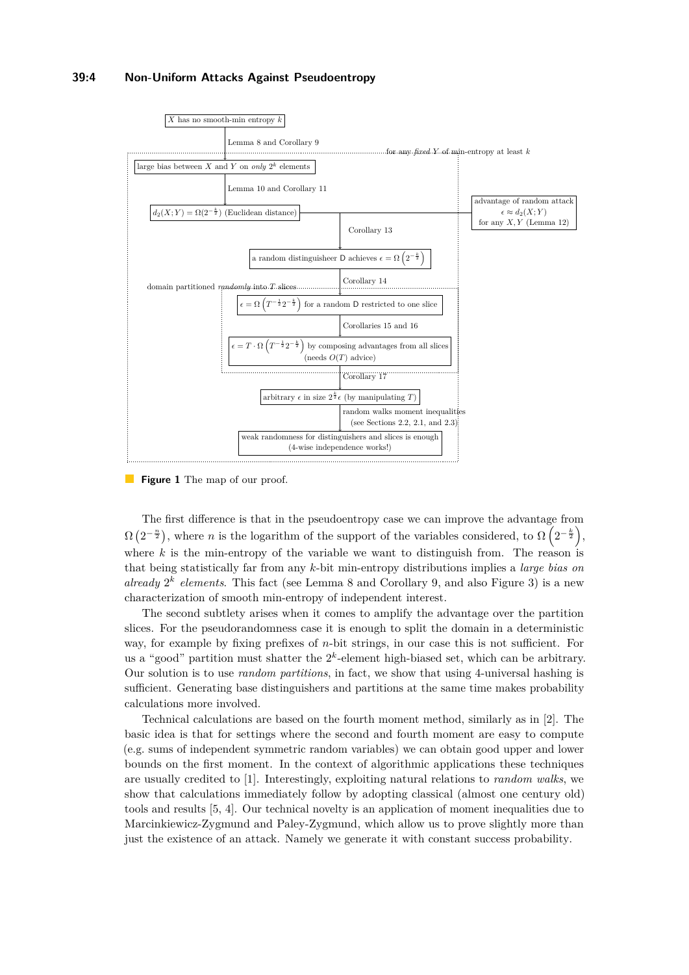## **39:4 Non-Uniform Attacks Against Pseudoentropy**

<span id="page-3-0"></span>

**Figure 1** The map of our proof.

The first difference is that in the pseudoentropy case we can improve the advantage from  $\Omega(2^{-\frac{n}{2}})$ , where *n* is the logarithm of the support of the variables considered, to  $\Omega(2^{-\frac{k}{2}})$ , where  $k$  is the min-entropy of the variable we want to distinguish from. The reason is that being statistically far from any *k*-bit min-entropy distributions implies a *large bias on* already  $2^k$  elements. This fact (see Lemma [8](#page-8-0) and Corollary [9,](#page-8-1) and also Figure [3\)](#page-5-0) is a new characterization of smooth min-entropy of independent interest.

The second subtlety arises when it comes to amplify the advantage over the partition slices. For the pseudorandomness case it is enough to split the domain in a deterministic way, for example by fixing prefixes of *n*-bit strings, in our case this is not sufficient. For us a "good" partition must shatter the  $2<sup>k</sup>$ -element high-biased set, which can be arbitrary. Our solution is to use *random partitions*, in fact, we show that using 4-universal hashing is sufficient. Generating base distinguishers and partitions at the same time makes probability calculations more involved.

Technical calculations are based on the fourth moment method, similarly as in [\[2\]](#page-12-0). The basic idea is that for settings where the second and fourth moment are easy to compute (e.g. sums of independent symmetric random variables) we can obtain good upper and lower bounds on the first moment. In the context of algorithmic applications these techniques are usually credited to [\[1\]](#page-12-4). Interestingly, exploiting natural relations to *random walks*, we show that calculations immediately follow by adopting classical (almost one century old) tools and results [\[5,](#page-12-5) [4\]](#page-12-6). Our technical novelty is an application of moment inequalities due to Marcinkiewicz-Zygmund and Paley-Zygmund, which allow us to prove slightly more than just the existence of an attack. Namely we generate it with constant success probability.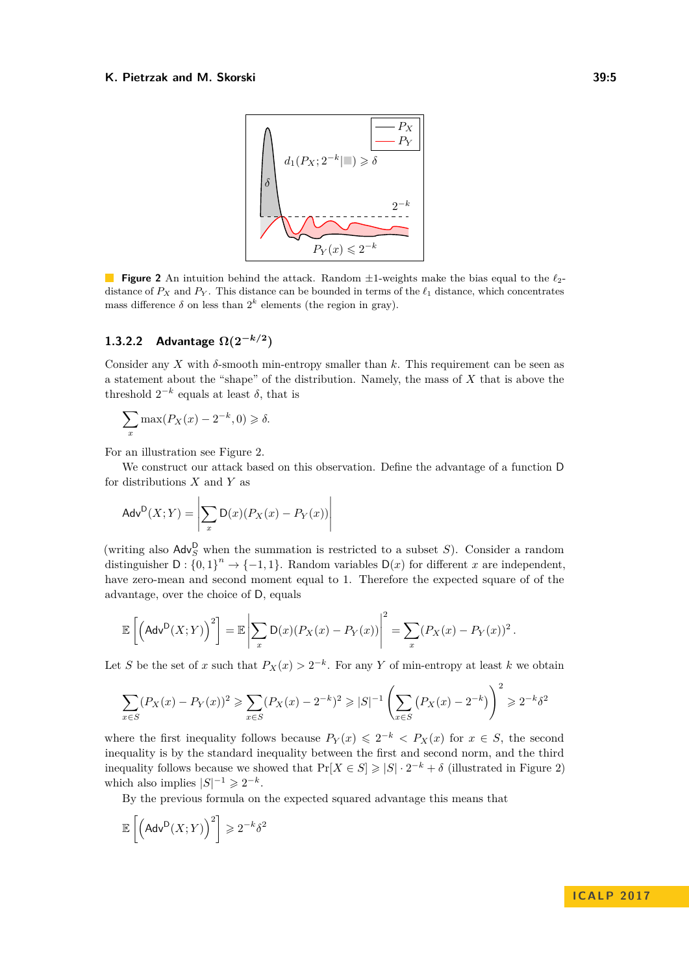<span id="page-4-0"></span>

**Figure 2** An intuition behind the attack. Random  $\pm 1$ -weights make the bias equal to the  $\ell_2$ distance of  $P_X$  and  $P_Y$ . This distance can be bounded in terms of the  $\ell_1$  distance, which concentrates mass difference  $\delta$  on less than  $2^k$  elements (the region in gray).

### **1.3.2.2 Advantage Ω(2<sup>−</sup>***k/***<sup>2</sup> )**

Consider any X with  $\delta$ -smooth min-entropy smaller than k. This requirement can be seen as a statement about the "shape" of the distribution. Namely, the mass of *X* that is above the threshold  $2^{-k}$  equals at least  $\delta$ , that is

$$
\sum_{x} \max(P_X(x) - 2^{-k}, 0) \ge \delta.
$$

For an illustration see Figure [2.](#page-4-0)

We construct our attack based on this observation. Define the advantage of a function D for distributions *X* and *Y* as

$$
Adv^{D}(X;Y) = \left| \sum_{x} D(x)(P_X(x) - P_Y(x)) \right|
$$

(writing also  $\mathsf{Adv}_{S}^{\mathsf{D}}$  when the summation is restricted to a subset *S*). Consider a random distinguisher  $D: \{0,1\}^n \to \{-1,1\}$ . Random variables  $D(x)$  for different *x* are independent, have zero-mean and second moment equal to 1. Therefore the expected square of of the advantage, over the choice of D, equals

$$
\mathbb{E}\left[\left(\mathsf{Adv}^{\mathsf{D}}(X;Y)\right)^2\right] = \mathbb{E}\left|\sum_x \mathsf{D}(x)(P_X(x) - P_Y(x))\right|^2 = \sum_x (P_X(x) - P_Y(x))^2.
$$

Let *S* be the set of *x* such that  $P_X(x) > 2^{-k}$ . For any *Y* of min-entropy at least *k* we obtain

$$
\sum_{x \in S} (P_X(x) - P_Y(x))^2 \ge \sum_{x \in S} (P_X(x) - 2^{-k})^2 \ge |S|^{-1} \left( \sum_{x \in S} (P_X(x) - 2^{-k}) \right)^2 \ge 2^{-k} \delta^2
$$

where the first inequality follows because  $P_Y(x) \leq 2^{-k} < P_X(x)$  for  $x \in S$ , the second inequality is by the standard inequality between the first and second norm, and the third inequality follows because we showed that  $Pr[X \in S] \geq |S| \cdot 2^{-k} + \delta$  (illustrated in Figure [2\)](#page-4-0) which also implies  $|S|^{-1} \geq 2^{-k}$ .

By the previous formula on the expected squared advantage this means that

$$
\mathbb{E}\left[\left(\mathsf{Adv}^{\mathsf{D}}(X;Y)\right)^2\right] \geqslant 2^{-k}\delta^2
$$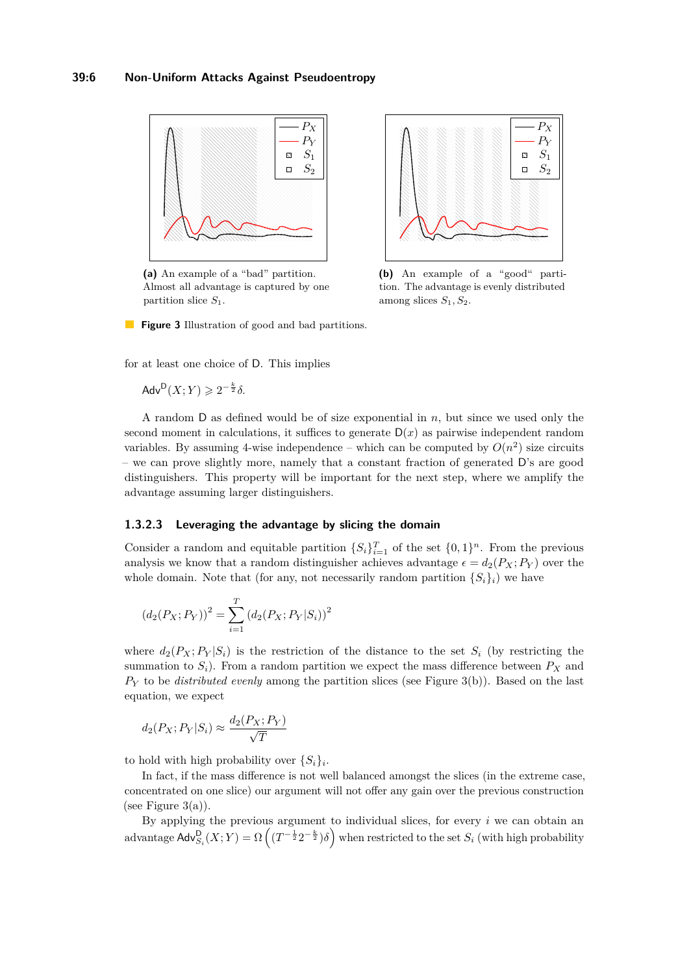<span id="page-5-0"></span>

**(a)** An example of a "bad" partition. Almost all advantage is captured by one partition slice *S*1.



**(b)** An example of a "good" partition. The advantage is evenly distributed among slices *S*1*, S*2.



for at least one choice of D. This implies

 $\mathsf{Adv}^{\mathsf{D}}(X;Y)\geqslant 2^{-\frac{k}{2}}\delta.$ 

A random D as defined would be of size exponential in *n*, but since we used only the second moment in calculations, it suffices to generate  $D(x)$  as pairwise independent random variables. By assuming 4-wise independence – which can be computed by  $O(n^2)$  size circuits – we can prove slightly more, namely that a constant fraction of generated D's are good distinguishers. This property will be important for the next step, where we amplify the advantage assuming larger distinguishers.

#### **1.3.2.3 Leveraging the advantage by slicing the domain**

Consider a random and equitable partition  $\{S_i\}_{i=1}^T$  of the set  $\{0,1\}^n$ . From the previous analysis we know that a random distinguisher achieves advantage  $\epsilon = d_2(P_X; P_Y)$  over the whole domain. Note that (for any, not necessarily random partition  ${S_i}_i$ ) we have

$$
(d_2(P_X; P_Y))^2 = \sum_{i=1}^{T} (d_2(P_X; P_Y|S_i))^2
$$

where  $d_2(P_X; P_Y|S_i)$  is the restriction of the distance to the set  $S_i$  (by restricting the summation to  $S_i$ ). From a random partition we expect the mass difference between  $P_X$  and *P<sup>Y</sup>* to be *distributed evenly* among the partition slices (see Figure [3\(b\)\)](#page-5-0). Based on the last equation, we expect

$$
d_2(P_X; P_Y|S_i) \approx \frac{d_2(P_X; P_Y)}{\sqrt{T}}
$$

to hold with high probability over  $\{S_i\}_i$ .

In fact, if the mass difference is not well balanced amongst the slices (in the extreme case, concentrated on one slice) our argument will not offer any gain over the previous construction (see Figure  $3(a)$ ).

By applying the previous argument to individual slices, for every *i* we can obtain an  $\text{advantage Adv}_{S_i}^{\mathsf{D}}(X;Y) = \Omega\left( (T^{-\frac{1}{2}} 2^{-\frac{k}{2}}) \delta \right) \text{ when restricted to the set } S_i \text{ (with high probability)}$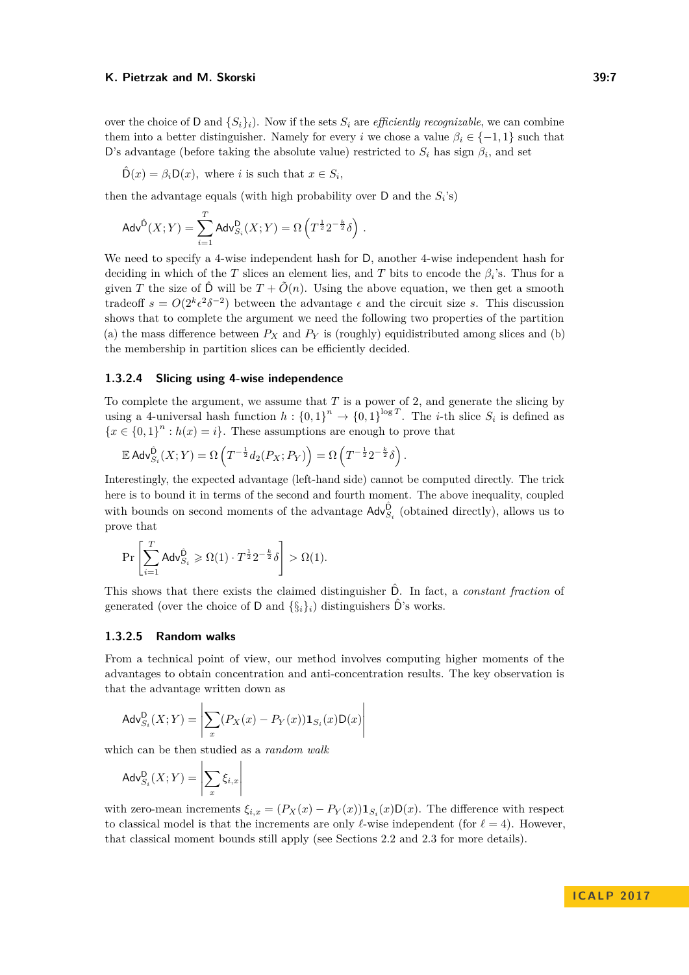over the choice of D and  $\{S_i\}_i$ . Now if the sets  $S_i$  are *efficiently recognizable*, we can combine them into a better distinguisher. Namely for every *i* we chose a value  $\beta_i \in \{-1, 1\}$  such that D's advantage (before taking the absolute value) restricted to  $S_i$  has sign  $\beta_i$ , and set

$$
\hat{\mathsf{D}}(x) = \beta_i \mathsf{D}(x), \text{ where } i \text{ is such that } x \in S_i,
$$

then the advantage equals (with high probability over  $D$  and the  $S_i$ 's)

$$
\mathsf{Adv}^{\hat{\mathsf{D}}}(X;Y) = \sum_{i=1}^T \mathsf{Adv}^{\mathsf{D}}_{S_i}(X;Y) = \Omega\left(T^{\frac{1}{2}}2^{-\frac{k}{2}}\delta\right)\,.
$$

We need to specify a 4-wise independent hash for D, another 4-wise independent hash for deciding in which of the *T* slices an element lies, and *T* bits to encode the  $\beta_i$ 's. Thus for a given *T* the size of  $\hat{D}$  will be  $T + \tilde{O}(n)$ . Using the above equation, we then get a smooth tradeoff  $s = O(2^k \epsilon^2 \delta^{-2})$  between the advantage  $\epsilon$  and the circuit size *s*. This discussion shows that to complete the argument we need the following two properties of the partition (a) the mass difference between  $P_X$  and  $P_Y$  is (roughly) equidistributed among slices and (b) the membership in partition slices can be efficiently decided.

#### **1.3.2.4 Slicing using 4-wise independence**

To complete the argument, we assume that *T* is a power of 2, and generate the slicing by using a 4-universal hash function  $h: \{0,1\}^n \to \{0,1\}^{\log T}$ . The *i*-th slice  $S_i$  is defined as  ${x \in \{0,1\}^n : h(x) = i}$ . These assumptions are enough to prove that

$$
\mathbb{E} \mathsf{Adv}_{S_i}^{\hat{\mathsf{D}}}(X;Y) = \Omega \left( T^{-\frac{1}{2}} d_2(P_X; P_Y) \right) = \Omega \left( T^{-\frac{1}{2}} 2^{-\frac{k}{2}} \delta \right).
$$

Interestingly, the expected advantage (left-hand side) cannot be computed directly. The trick here is to bound it in terms of the second and fourth moment. The above inequality, coupled with bounds on second moments of the advantage  $\mathsf{Adv}_{S_i}^{\hat{\mathsf{D}}}$  (obtained directly), allows us to prove that

$$
\Pr\left[\sum_{i=1}^T \mathsf{Adv}_{S_i}^{\hat{\mathsf{D}}} \geqslant \Omega(1) \cdot T^{\frac{1}{2}} 2^{-\frac{k}{2}} \delta\right] > \Omega(1).
$$

This shows that there exists the claimed distinguisher Dˆ. In fact, a *constant fraction* of generated (over the choice of D and  $\{\S_i\}_i$ ) distinguishers  $\hat{D}$ 's works.

#### **1.3.2.5 Random walks**

From a technical point of view, our method involves computing higher moments of the advantages to obtain concentration and anti-concentration results. The key observation is that the advantage written down as

$$
\mathsf{Adv}_{S_i}^{\mathsf{D}}(X;Y) = \left| \sum_{x} (P_X(x) - P_Y(x)) \mathbf{1}_{S_i}(x) \mathsf{D}(x) \right|
$$

which can be then studied as a *random walk*

$$
\mathsf{Adv}_{S_i}^{\mathsf{D}}(X;Y) = \left|\sum_{x} \xi_{i,x}\right|
$$

with zero-mean increments  $\xi_{i,x} = (P_X(x) - P_Y(x))\mathbf{1}_{S_i}(x)\mathbf{D}(x)$ . The difference with respect to classical model is that the increments are only  $\ell$ -wise independent (for  $\ell = 4$ ). However, that classical moment bounds still apply (see Sections [2.2](#page-7-0) and [2.3](#page-7-2) for more details).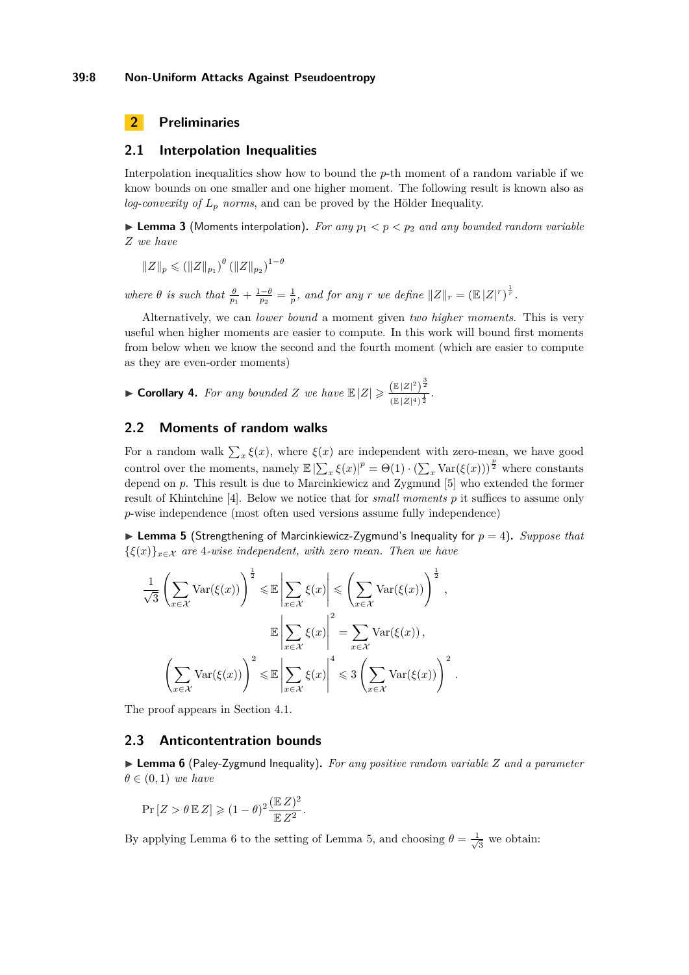# **2 Preliminaries**

### <span id="page-7-1"></span>**2.1 Interpolation Inequalities**

Interpolation inequalities show how to bound the *p*-th moment of a random variable if we know bounds on one smaller and one higher moment. The following result is known also as *log-convexity of L<sup>p</sup> norms*, and can be proved by the Hölder Inequality.

**Lemma 3** (Moments interpolation). For any  $p_1 < p < p_2$  and any bounded random variable *Z we have*

$$
||Z||_p \leq (||Z||_{p_1})^{\theta} (||Z||_{p_2})^{1-\theta}
$$

*where*  $\theta$  *is such that*  $\frac{\theta}{p_1} + \frac{1-\theta}{p_2} = \frac{1}{p}$ *, and for any r we define*  $||Z||_r = (\mathbb{E}|Z|^r)^{\frac{1}{r}}$ *.* 

Alternatively, we can *lower bound* a moment given *two higher moments*. This is very useful when higher moments are easier to compute. In this work will bound first moments from below when we know the second and the fourth moment (which are easier to compute as they are even-order moments)

<span id="page-7-5"></span>• Corollary 4. For any bounded Z we have 
$$
\mathbb{E}|Z| \geq \frac{(\mathbb{E}|Z|^2)^{\frac{3}{2}}}{(\mathbb{E}|Z|^4)^{\frac{1}{2}}}
$$
.

## <span id="page-7-0"></span>**2.2 Moments of random walks**

For a random walk  $\sum_{x} \xi(x)$ , where  $\xi(x)$  are independent with zero-mean, we have good control over the moments, namely  $\mathbb{E} |\sum_{x} \xi(x)|^p = \Theta(1) \cdot (\sum_{x} \text{Var}(\xi(x)))^{\frac{p}{2}}$  where constants depend on *p*. This result is due to Marcinkiewicz and Zygmund [\[5\]](#page-12-5) who extended the former result of Khintchine [\[4\]](#page-12-6). Below we notice that for *small moments p* it suffices to assume only *p*-wise independence (most often used versions assume fully independence)

<span id="page-7-4"></span> $\blacktriangleright$  **Lemma 5** (Strengthening of Marcinkiewicz-Zygmund's Inequality for  $p = 4$ ). *Suppose that*  ${\xi(x)}_{x \in \mathcal{X}}$  *are* 4*-wise independent, with zero mean. Then we have* 

$$
\frac{1}{\sqrt{3}} \left( \sum_{x \in \mathcal{X}} \text{Var}(\xi(x)) \right)^{\frac{1}{2}} \leq \mathbb{E} \left| \sum_{x \in \mathcal{X}} \xi(x) \right| \leq \left( \sum_{x \in \mathcal{X}} \text{Var}(\xi(x)) \right)^{\frac{1}{2}},
$$

$$
\mathbb{E} \left| \sum_{x \in \mathcal{X}} \xi(x) \right|^{2} = \sum_{x \in \mathcal{X}} \text{Var}(\xi(x)),
$$

$$
\left( \sum_{x \in \mathcal{X}} \text{Var}(\xi(x)) \right)^{2} \leq \mathbb{E} \left| \sum_{x \in \mathcal{X}} \xi(x) \right|^{4} \leq 3 \left( \sum_{x \in \mathcal{X}} \text{Var}(\xi(x)) \right)^{2}.
$$

The proof appears in Section [4.1.](#page-10-2)

### <span id="page-7-2"></span>**2.3 Anticontentration bounds**

<span id="page-7-3"></span>I **Lemma 6** (Paley-Zygmund Inequality)**.** *For any positive random variable Z and a parameter*  $\theta \in (0,1)$  *we have* 

$$
\Pr[Z > \theta \mathbb{E} Z] \geq (1 - \theta)^2 \frac{(\mathbb{E} Z)^2}{\mathbb{E} Z^2}.
$$

By applying Lemma [6](#page-7-3) to the setting of Lemma [5,](#page-7-4) and choosing  $\theta = \frac{1}{\sqrt{2}}$  $\overline{3}$  we obtain: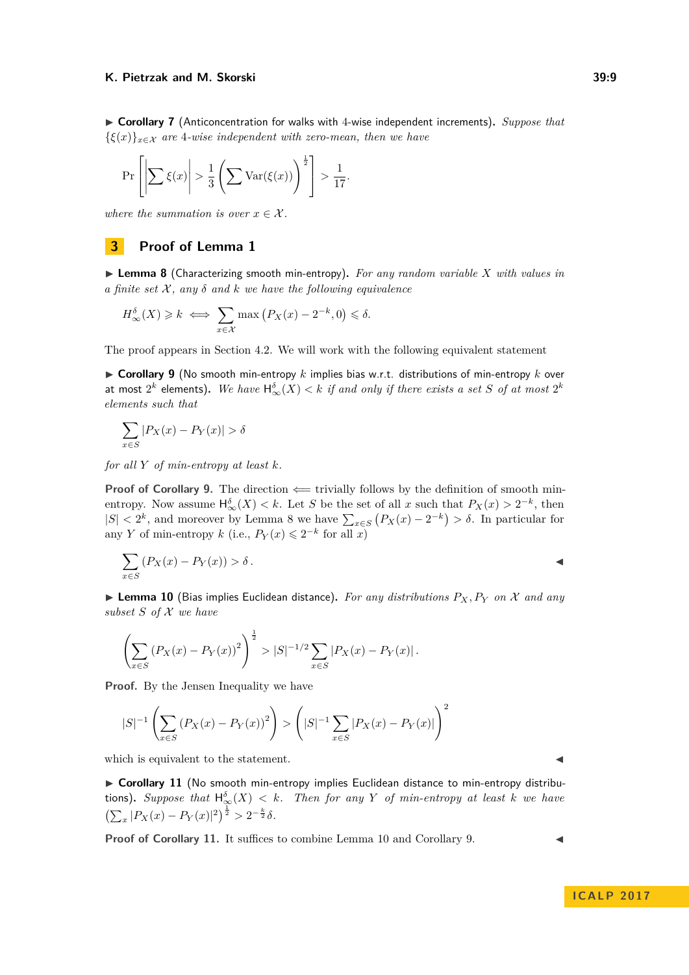<span id="page-8-4"></span>▶ Corollary 7 (Anticoncentration for walks with 4-wise independent increments). Suppose that  $\{\xi(x)\}_{x \in \mathcal{X}}$  *are* 4*-wise independent with zero-mean, then we have* 

$$
\Pr\left[\left|\sum \xi(x)\right| > \frac{1}{3}\left(\sum \text{Var}(\xi(x))\right)^{\frac{1}{2}}\right] > \frac{1}{17}.
$$

*where the summation is over*  $x \in \mathcal{X}$ *.* 

### **3 Proof of Lemma [1](#page-1-1)**

<span id="page-8-0"></span>▶ **Lemma 8** (Characterizing smooth min-entropy). For any random variable *X* with values in  $\alpha$  *finite set*  $\mathcal{X}$ *, any*  $\delta$  *and*  $k$  *we have the following equivalence* 

$$
H_{\infty}^{\delta}(X) \geq k \iff \sum_{x \in \mathcal{X}} \max (P_X(x) - 2^{-k}, 0) \leq \delta.
$$

The proof appears in Section [4.2.](#page-11-0) We will work with the following equivalent statement

<span id="page-8-1"></span> $\triangleright$  **Corollary 9** (No smooth min-entropy *k* implies bias w.r.t. distributions of min-entropy *k* over at most  $2^k$  elements). We have  $\mathsf{H}_\infty^\delta(X) < k$  *if and only if there exists a set*  $S$  *of at most*  $2^k$ *elements such that*

$$
\sum_{x \in S} |P_X(x) - P_Y(x)| > \delta
$$

*for all Y of min-entropy at least k.*

**Proof of Corollary [9.](#page-8-1)** The direction  $\Leftarrow$  trivially follows by the definition of smooth minentropy. Now assume  $\mathsf{H}^{\delta}_{\infty}(X) < k$ . Let *S* be the set of all *x* such that  $P_X(x) > 2^{-k}$ , then  $|S|$  < 2<sup>*k*</sup>, and moreover by Lemma [8](#page-8-0) we have  $\sum_{x \in S} (P_X(x) - 2^{-k}) > δ$ . In particular for any *Y* of min-entropy *k* (i.e.,  $P_Y(x) \leq 2^{-k}$  for all *x*)

$$
\sum_{x \in S} (P_X(x) - P_Y(x)) > \delta.
$$

<span id="page-8-2"></span>**Example 10** (Bias implies Euclidean distance). For any distributions  $P_X, P_Y$  on X and any *subset S of* X *we have*

$$
\left(\sum_{x\in S} \left(P_X(x) - P_Y(x)\right)^2\right)^{\frac{1}{2}} > |S|^{-1/2} \sum_{x\in S} |P_X(x) - P_Y(x)|.
$$

**Proof.** By the Jensen Inequality we have

$$
|S|^{-1} \left( \sum_{x \in S} \left( P_X(x) - P_Y(x) \right)^2 \right) > \left( |S|^{-1} \sum_{x \in S} |P_X(x) - P_Y(x)| \right)^2
$$

which is equivalent to the statement.

<span id="page-8-3"></span>► Corollary 11 (No smooth min-entropy implies Euclidean distance to min-entropy distribu**tions).** Suppose that  $\mathsf{H}^{\delta}_{\infty}(X) < k$ . Then for any Y of min-entropy at least k we have  $\left(\sum_{x} |P_X(x) - P_Y(x)|^2\right)^{\frac{1}{2}} > 2^{-\frac{k}{2}}\delta.$ 

**Proof of Corollary [11.](#page-8-3)** It suffices to combine Lemma [10](#page-8-2) and Corollary [9.](#page-8-1)

$$
f_{\rm{max}}
$$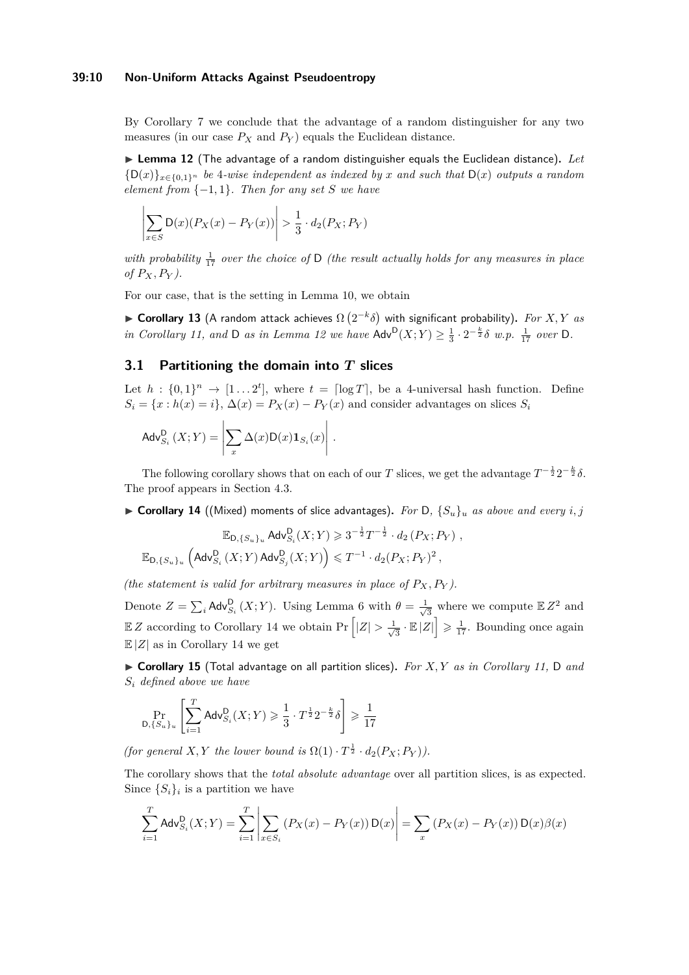#### **39:10 Non-Uniform Attacks Against Pseudoentropy**

By Corollary [7](#page-8-4) we conclude that the advantage of a random distinguisher for any two measures (in our case  $P_X$  and  $P_Y$ ) equals the Euclidean distance.

<span id="page-9-0"></span>▶ Lemma 12 (The advantage of a random distinguisher equals the Euclidean distance). Let  ${D(x)}_{x \in {0,1}}$ <sup>n</sup> be 4*-wise independent as indexed by x and such that*  $D(x)$  *outputs a random element from*  $\{-1,1\}$ *. Then for any set S we have* 

$$
\left|\sum_{x\in S} \mathsf{D}(x)(P_X(x)-P_Y(x))\right|>\frac{1}{3}\cdot d_2(P_X;P_Y)
$$

with probability  $\frac{1}{17}$  over the choice of D *(the result actually holds for any measures in place of PX, P<sup>Y</sup> ).*

For our case, that is the setting in Lemma [10,](#page-8-2) we obtain

<span id="page-9-3"></span> $\triangleright$  **Corollary 13** (A random attack achieves Ω  $(2^{-k}δ)$  with significant probability). For X, Y as *in Corollary* [11,](#page-8-3) and D *as in Lemma* [12](#page-9-0) *we have*  $\mathsf{Adv}^{\mathsf{D}}(X;Y) \geq \frac{1}{3} \cdot 2^{-\frac{k}{2}} \delta$  *w.p.*  $\frac{1}{17}$  *over* D.

## **3.1 Partitioning the domain into** *T* **slices**

Let  $h: \{0,1\}^n \to [1 \dots 2^t]$ , where  $t = \lceil \log T \rceil$ , be a 4-universal hash function. Define  $S_i = \{x : h(x) = i\}, \Delta(x) = P_X(x) - P_Y(x)$  and consider advantages on slices  $S_i$ 

$$
\operatorname{Adv}_{S_i}^{\mathsf{D}}\left(X;Y\right) = \left|\sum_{x} \Delta(x) \mathsf{D}(x) \mathbf{1}_{S_i}(x)\right|.
$$

The following corollary shows that on each of our *T* slices, we get the advantage  $T^{-\frac{1}{2}}2^{-\frac{k}{2}}\delta$ . The proof appears in Section [4.3.](#page-11-1)

<span id="page-9-2"></span> $\triangleright$  **Corollary 14** ((Mixed) moments of slice advantages). For D,  $\{S_u\}_u$  as above and every *i*, *j* 

$$
\mathbb{E}_{\mathsf{D}, \{S_u\}_u} \mathsf{Adv}_{S_i}^{\mathsf{D}}(X;Y) \geqslant 3^{-\frac{1}{2}} T^{-\frac{1}{2}} \cdot d_2\left(P_X; P_Y\right),
$$
  

$$
\mathbb{E}_{\mathsf{D}, \{S_u\}_u} \left(\mathsf{Adv}_{S_i}^{\mathsf{D}}(X;Y) \mathsf{Adv}_{S_j}^{\mathsf{D}}(X;Y)\right) \leqslant T^{-1} \cdot d_2(P_X; P_Y)^2,
$$

*(the statement is valid for arbitrary measures in place of*  $P_X, P_Y$ *).* 

Denote  $Z = \sum_i \mathsf{Adv}_{S_i}^{\mathsf{D}}(X;Y)$ . Using Lemma [6](#page-7-3) with  $\theta = \frac{1}{\sqrt{2}}$  $\frac{1}{3}$  where we compute  $\mathbb{E} Z^2$  and  $\mathbb{E} Z$  according to Corollary [14](#page-9-2) we obtain Pr  $\left|Z\right| > \frac{1}{\sqrt{2}}$  $\frac{1}{3} \cdot \mathbb{E} |Z|$   $\geq \frac{1}{17}$ . Bounding once again  $\mathbb{E}|Z|$  as in Corollary [14](#page-9-2) we get

<span id="page-9-1"></span>I **Corollary 15** (Total advantage on all partition slices)**.** *For X, Y as in Corollary [11,](#page-8-3)* D *and S<sup>i</sup> defined above we have*

$$
\Pr_{\mathsf{D}, \{S_u\}_u} \left[ \sum_{i=1}^T \mathsf{Adv}_{S_i}^{\mathsf{D}}(X;Y) \geq \frac{1}{3} \cdot T^{\frac{1}{2}} 2^{-\frac{k}{2}} \delta \right] \geq \frac{1}{17}
$$

*(for general*  $X, Y$  *the lower bound is*  $\Omega(1) \cdot T^{\frac{1}{2}} \cdot d_2(P_X; P_Y)$ *).* 

The corollary shows that the *total absolute advantage* over all partition slices, is as expected. Since  $\{S_i\}_i$  is a partition we have

$$
\sum_{i=1}^{T} \text{Adv}_{S_i}^{D}(X;Y) = \sum_{i=1}^{T} \left| \sum_{x \in S_i} (P_X(x) - P_Y(x)) \, \text{D}(x) \right| = \sum_{x} \left( P_X(x) - P_Y(x) \right) \text{D}(x) \beta(x)
$$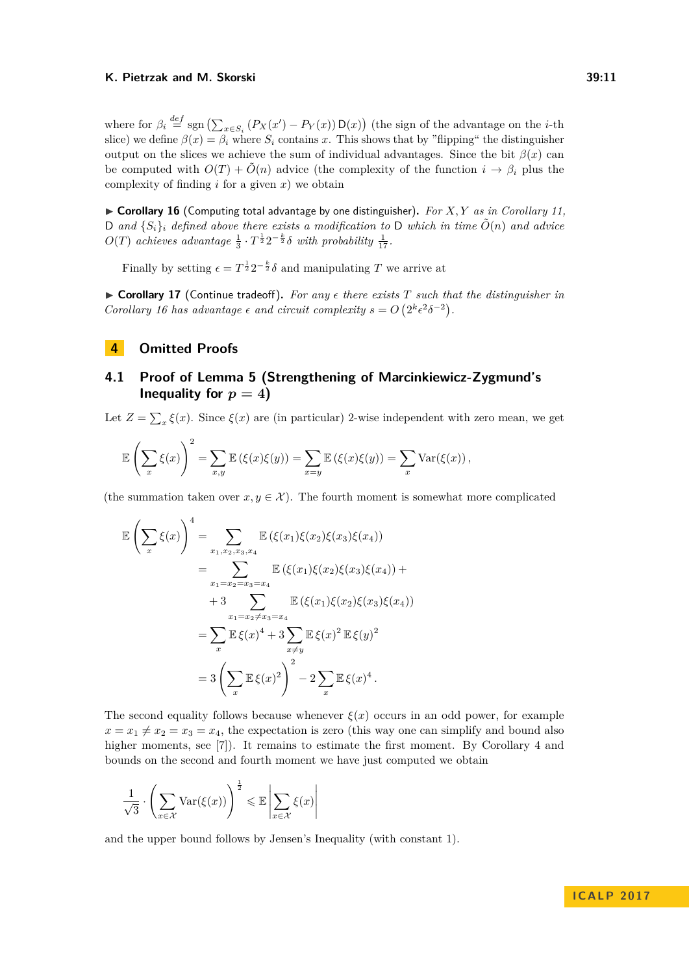where for  $\beta_i \stackrel{def}{=} \text{sgn}(\sum_{x \in S_i} (P_X(x') - P_Y(x)) \mathsf{D}(x))$  (the sign of the advantage on the *i*-th slice) we define  $\beta(x) = \beta_i$  where  $S_i$  contains *x*. This shows that by "flipping" the distinguisher output on the slices we achieve the sum of individual advantages. Since the bit  $\beta(x)$  can be computed with  $O(T) + \tilde{O}(n)$  advice (the complexity of the function  $i \to \beta_i$  plus the complexity of finding  $i$  for a given  $x$ ) we obtain

<span id="page-10-1"></span> $\triangleright$  **Corollary 16** (Computing total advantage by one distinguisher). For X, Y as in Corollary [11,](#page-8-3) D and  $\{S_i\}_i$  defined above there exists a modification to D which in time  $\tilde{O}(n)$  and advice  $O(T)$  *achieves advantage*  $\frac{1}{3} \cdot T^{\frac{1}{2}} 2^{-\frac{k}{2}} \delta$  *with probability*  $\frac{1}{17}$ *.* 

Finally by setting  $\epsilon = T^{\frac{1}{2}} 2^{-\frac{k}{2}} \delta$  and manipulating T we arrive at

<span id="page-10-0"></span> $\triangleright$  **Corollary 17** (Continue tradeoff). For any  $\epsilon$  there exists T such that the distinguisher in *Corollary* [16](#page-10-1) has advantage  $\epsilon$  and circuit complexity  $s = O(2^k \epsilon^2 \delta^{-2})$ .

# **4 Omitted Proofs**

# <span id="page-10-2"></span>**4.1 Proof of Lemma [5](#page-7-4) (Strengthening of Marcinkiewicz-Zygmund's Inequality for**  $p = 4$ **)**

Let  $Z = \sum_x \xi(x)$ . Since  $\xi(x)$  are (in particular) 2-wise independent with zero mean, we get

$$
\mathbb{E}\left(\sum_{x}\xi(x)\right)^{2} = \sum_{x,y}\mathbb{E}\left(\xi(x)\xi(y)\right) = \sum_{x=y}\mathbb{E}\left(\xi(x)\xi(y)\right) = \sum_{x}\text{Var}(\xi(x)),
$$

(the summation taken over  $x, y \in \mathcal{X}$ ). The fourth moment is somewhat more complicated

$$
\mathbb{E}\left(\sum_{x}\xi(x)\right)^{4} = \sum_{x_{1},x_{2},x_{3},x_{4}}\mathbb{E}\left(\xi(x_{1})\xi(x_{2})\xi(x_{3})\xi(x_{4})\right)
$$
  
\n
$$
= \sum_{x_{1}=x_{2}=x_{3}=x_{4}}\mathbb{E}\left(\xi(x_{1})\xi(x_{2})\xi(x_{3})\xi(x_{4})\right) + 3\sum_{x_{1}=x_{2}\neq x_{3}=x_{4}}\mathbb{E}\left(\xi(x_{1})\xi(x_{2})\xi(x_{3})\xi(x_{4})\right)
$$
  
\n
$$
= \sum_{x}\mathbb{E}\xi(x)^{4} + 3\sum_{x\neq y}\mathbb{E}\xi(x)^{2}\mathbb{E}\xi(y)^{2}
$$
  
\n
$$
= 3\left(\sum_{x}\mathbb{E}\xi(x)^{2}\right)^{2} - 2\sum_{x}\mathbb{E}\xi(x)^{4}.
$$

The second equality follows because whenever  $\xi(x)$  occurs in an odd power, for example  $x = x_1 \neq x_2 = x_3 = x_4$ , the expectation is zero (this way one can simplify and bound also higher moments, see [\[7\]](#page-12-7)). It remains to estimate the first moment. By Corollary [4](#page-7-5) and bounds on the second and fourth moment we have just computed we obtain

$$
\frac{1}{\sqrt{3}} \cdot \left( \sum_{x \in \mathcal{X}} \text{Var}(\xi(x)) \right)^{\frac{1}{2}} \leq \mathbb{E} \left| \sum_{x \in \mathcal{X}} \xi(x) \right|
$$

and the upper bound follows by Jensen's Inequality (with constant 1).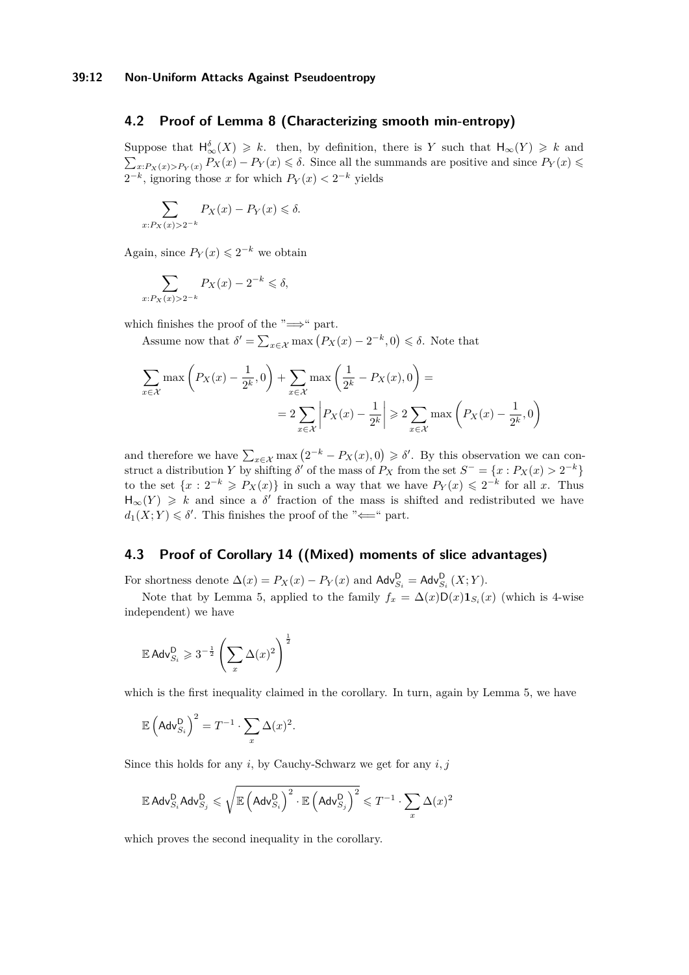# <span id="page-11-0"></span>**4.2 Proof of Lemma [8](#page-8-0) (Characterizing smooth min-entropy)**

Suppose that  $\mathsf{H}^{\delta}_{\infty}(X) \geq k$ . then, by definition, there is *Y* such that  $\mathsf{H}_{\infty}(Y) \geq k$  and  $\sum_{x:P_X(x)>P_Y(x)} P_X(x) - P_Y(x) \leq \delta$ . Since all the summands are positive and since  $P_Y(x)$  $2^{-k}$ , ignoring those *x* for which  $P_Y(x) < 2^{-k}$  yields

$$
\sum_{x:P_X(x)>2^{-k}} P_X(x) - P_Y(x) \le \delta.
$$

Again, since  $P_Y(x) \leq 2^{-k}$  we obtain

$$
\sum_{x:P_X(x)>2^{-k}} P_X(x) - 2^{-k} \leq \delta,
$$

which finishes the proof of the " $\Longrightarrow$ " part.

Assume now that  $\delta' = \sum_{x \in \mathcal{X}} \max (P_X(x) - 2^{-k}, 0) \leq \delta$ . Note that

$$
\sum_{x \in \mathcal{X}} \max\left(P_X(x) - \frac{1}{2^k}, 0\right) + \sum_{x \in \mathcal{X}} \max\left(\frac{1}{2^k} - P_X(x), 0\right) =
$$
  
= 
$$
2 \sum_{x \in \mathcal{X}} \left|P_X(x) - \frac{1}{2^k}\right| \ge 2 \sum_{x \in \mathcal{X}} \max\left(P_X(x) - \frac{1}{2^k}, 0\right)
$$

and therefore we have  $\sum_{x \in \mathcal{X}} \max(2^{-k} - P_X(x), 0) \geq \delta'$ . By this observation we can construct a distribution *Y* by shifting  $\delta'$  of the mass of  $P_X$  from the set  $S^- = \{x : P_X(x) > 2^{-k}\}\$ to the set  $\{x : 2^{-k} \geq P_X(x)\}$  in such a way that we have  $P_Y(x) \leq 2^{-k}$  for all *x*. Thus  $H_{\infty}(Y) \geq k$  and since a  $\delta'$  fraction of the mass is shifted and redistributed we have  $d_1(X;Y) \leq \delta'$ . This finishes the proof of the " $\Longleftarrow$ " part.

### <span id="page-11-1"></span>**4.3 Proof of Corollary [14](#page-9-2) ((Mixed) moments of slice advantages)**

For shortness denote  $\Delta(x) = P_X(x) - P_Y(x)$  and  $\mathsf{Adv}_{S_i}^{\mathsf{D}} = \mathsf{Adv}_{S_i}^{\mathsf{D}}(X;Y)$ .

Note that by Lemma [5,](#page-7-4) applied to the family  $f_x = \Delta(x)D(x)1_{S_i}(x)$  (which is 4-wise independent) we have

$$
\mathbb{E}\,\mathrm{Adv}_{S_i}^{\mathrm{D}}\geqslant 3^{-\frac{1}{2}}\left(\sum_x\Delta(x)^2\right)^{\frac{1}{2}}
$$

which is the first inequality claimed in the corollary. In turn, again by Lemma [5,](#page-7-4) we have

$$
\mathbb{E}\left(\mathsf{Adv}_{S_i}^{\mathsf{D}}\right)^2 = T^{-1} \cdot \sum_{x} \Delta(x)^2.
$$

Since this holds for any *i*, by Cauchy-Schwarz we get for any *i, j*

$$
\mathbb{E}\,\mathsf{Adv}_{S_i}^{\mathsf{D}}\mathsf{Adv}_{S_j}^{\mathsf{D}}\leqslant \sqrt{\mathbb{E}\left(\mathsf{Adv}_{S_i}^{\mathsf{D}}\right)^2\cdot \mathbb{E}\left(\mathsf{Adv}_{S_j}^{\mathsf{D}}\right)^2}\leqslant T^{-1}\cdot \sum_{x}\Delta(x)^2
$$

which proves the second inequality in the corollary.